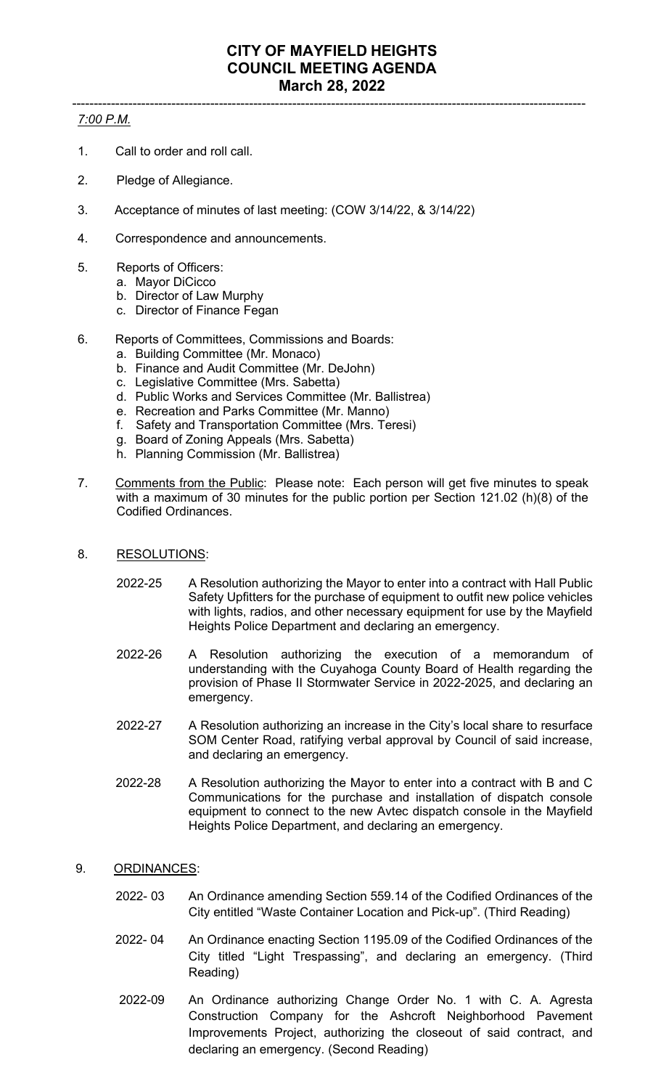## ----------------------------------------------------------------------------------------------------------------------- *7:00 P.M.*

- 1. Call to order and roll call.
- 2. Pledge of Allegiance.
- 3. Acceptance of minutes of last meeting: (COW 3/14/22, & 3/14/22)
- 4. Correspondence and announcements.
- 5. Reports of Officers:
	- a. Mayor DiCicco
	- b. Director of Law Murphy
	- c. Director of Finance Fegan
- 6. Reports of Committees, Commissions and Boards:
	- a. Building Committee (Mr. Monaco)
	- b. Finance and Audit Committee (Mr. DeJohn)
	- c. Legislative Committee (Mrs. Sabetta)
	- d. Public Works and Services Committee (Mr. Ballistrea)
	- e. Recreation and Parks Committee (Mr. Manno)
	- f. Safety and Transportation Committee (Mrs. Teresi)
	- g. Board of Zoning Appeals (Mrs. Sabetta)
	- h. Planning Commission (Mr. Ballistrea)
- 7. Comments from the Public: Please note: Each person will get five minutes to speak with a maximum of 30 minutes for the public portion per Section 121.02 (h)(8) of the Codified Ordinances.
- 8. RESOLUTIONS:
	- 2022-25 A Resolution authorizing the Mayor to enter into a contract with Hall Public Safety Upfitters for the purchase of equipment to outfit new police vehicles with lights, radios, and other necessary equipment for use by the Mayfield Heights Police Department and declaring an emergency.
	- 2022-26 A Resolution authorizing the execution of a memorandum of understanding with the Cuyahoga County Board of Health regarding the provision of Phase II Stormwater Service in 2022-2025, and declaring an emergency.
	- 2022-27 A Resolution authorizing an increase in the City's local share to resurface SOM Center Road, ratifying verbal approval by Council of said increase, and declaring an emergency.
	- 2022-28 A Resolution authorizing the Mayor to enter into a contract with B and C Communications for the purchase and installation of dispatch console equipment to connect to the new Avtec dispatch console in the Mayfield Heights Police Department, and declaring an emergency.
- 9. ORDINANCES:
	- 2022- 03 An Ordinance amending Section 559.14 of the Codified Ordinances of the City entitled "Waste Container Location and Pick-up". (Third Reading)
	- 2022- 04 An Ordinance enacting Section 1195.09 of the Codified Ordinances of the City titled "Light Trespassing", and declaring an emergency. (Third Reading)
	- 2022-09 An Ordinance authorizing Change Order No. 1 with C. A. Agresta Construction Company for the Ashcroft Neighborhood Pavement Improvements Project, authorizing the closeout of said contract, and declaring an emergency. (Second Reading)